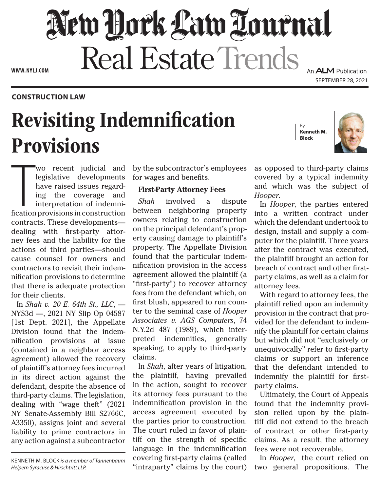## New Dock Law Louenal Real Estate Trends An **ALM** Publication

**WWW. NYLJ.COM**

**CONSTRUCTION LAW**

# Revisiting Indemnification Provisions

By **Kenneth M. Block**



SEPTEMBER 28, 2021

Wo recent judicial and<br>legislative developments<br>have raised issues regard-<br>ing the coverage and<br>interpretation of indemni-<br>fication provisions in construction wo recent judicial and legislative developments have raised issues regarding the coverage and interpretation of indemnicontracts. These developments dealing with first-party attorney fees and the liability for the actions of third parties—should cause counsel for owners and contractors to revisit their indemnification provisions to determine that there is adequate protection for their clients.

In *Shah v. 20 E. 64th St., LLC*, — NYS3d —, 2021 NY Slip Op 04587 [1st Dept. 2021], the Appellate Division found that the indemnification provisions at issue (contained in a neighbor access agreement) allowed the recovery of plaintiff's attorney fees incurred in its direct action against the defendant, despite the absence of third-party claims. The legislation, dealing with "wage theft" (2021 NY Senate-Assembly Bill S2766C, A3350), assigns joint and several liability to prime contractors in any action against a subcontractor

KENNETH M. BLOCK *is a member of Tannenbaum Helpern Syracuse & Hirschtritt LLP.*

by the subcontractor's employees for wages and benefits.

#### **First-Party Attorney Fees**

*Shah* involved a dispute between neighboring property owners relating to construction on the principal defendant's property causing damage to plaintiff's property. The Appellate Division found that the particular indemnification provision in the access agreement allowed the plaintiff (a "first-party") to recover attorney fees from the defendant which, on first blush, appeared to run counter to the seminal case of *Hooper Associates v. AGS Computers*, 74 N.Y.2d 487 (1989), which interpreted indemnities, generally speaking, to apply to third-party claims.

In *Shah*, after years of litigation, the plaintiff, having prevailed in the action, sought to recover its attorney fees pursuant to the indemnification provision in the access agreement executed by the parties prior to construction. The court ruled in favor of plaintiff on the strength of specific language in the indemnification covering first-party claims (called "intraparty" claims by the court)

as opposed to third-party claims covered by a typical indemnity and which was the subject of *Hooper*.

In *Hooper*, the parties entered into a written contract under which the defendant undertook to design, install and supply a computer for the plaintiff. Three years after the contract was executed, the plaintiff brought an action for breach of contract and other firstparty claims, as well as a claim for attorney fees.

With regard to attorney fees, the plaintiff relied upon an indemnity provision in the contract that provided for the defendant to indemnify the plaintiff for certain claims but which did not "exclusively or unequivocally" refer to first-party claims or support an inference that the defendant intended to indemnify the plaintiff for firstparty claims.

Ultimately, the Court of Appeals found that the indemnity provision relied upon by the plaintiff did not extend to the breach of contract or other first-party claims. As a result, the attorney fees were not recoverable.

In *Hooper*, the court relied on two general propositions. The